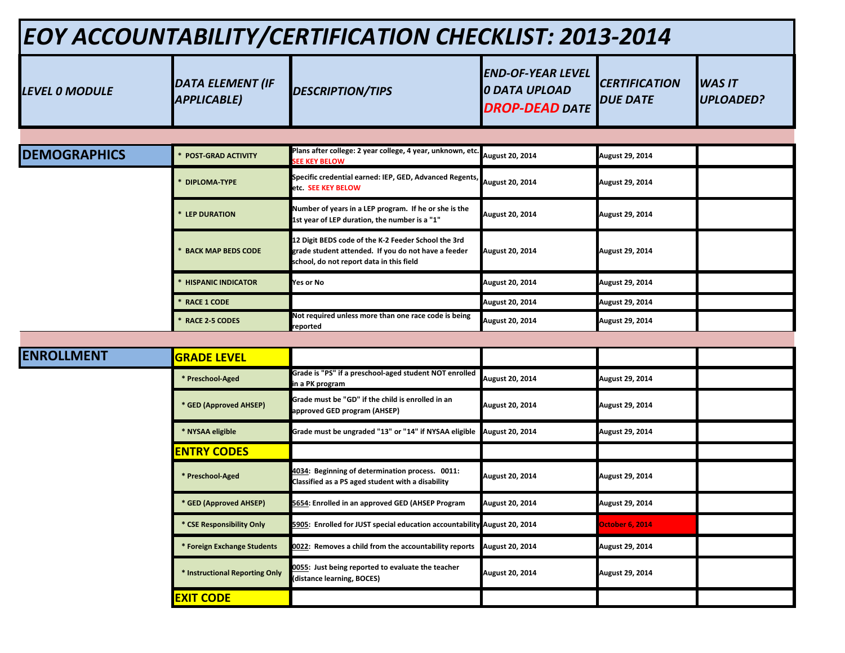| EOY ACCOUNTABILITY/CERTIFICATION CHECKLIST: 2013-2014 |                                               |                                                                                                                                                        |                                                                    |                                         |                                   |
|-------------------------------------------------------|-----------------------------------------------|--------------------------------------------------------------------------------------------------------------------------------------------------------|--------------------------------------------------------------------|-----------------------------------------|-----------------------------------|
| <b>LEVEL 0 MODULE</b>                                 | <b>DATA ELEMENT (IF</b><br><b>APPLICABLE)</b> | <b>DESCRIPTION/TIPS</b>                                                                                                                                | END-OF-YEAR LEVEL<br><b>O DATA UPLOAD</b><br><b>DROP-DEAD DATE</b> | <b>CERTIFICATION</b><br><b>DUE DATE</b> | <b>WAS IT</b><br><b>UPLOADED?</b> |
|                                                       |                                               |                                                                                                                                                        |                                                                    |                                         |                                   |
| <b>DEMOGRAPHICS</b>                                   | <b>POST-GRAD ACTIVITY</b>                     | Plans after college: 2 year college, 4 year, unknown, etc.<br><b>EE KEY BELOW</b>                                                                      | August 20, 2014                                                    | August 29, 2014                         |                                   |
|                                                       | <b>DIPLOMA-TYPE</b>                           | Specific credential earned: IEP, GED, Advanced Regents,<br>etc. SEE KEY BELOW                                                                          | August 20, 2014                                                    | <b>August 29, 2014</b>                  |                                   |
|                                                       | <b>LEP DURATION</b>                           | Number of years in a LEP program. If he or she is the<br>1st year of LEP duration, the number is a "1"                                                 | <b>August 20, 2014</b>                                             | <b>August 29, 2014</b>                  |                                   |
|                                                       | <b>BACK MAP BEDS CODE</b>                     | 12 Digit BEDS code of the K-2 Feeder School the 3rd<br>grade student attended. If you do not have a feeder<br>school, do not report data in this field | August 20, 2014                                                    | <b>August 29, 2014</b>                  |                                   |
|                                                       | <b>HISPANIC INDICATOR</b>                     | <b>Yes or No</b>                                                                                                                                       | <b>August 20, 2014</b>                                             | <b>August 29, 2014</b>                  |                                   |
|                                                       | <b>RACE 1 CODE</b>                            |                                                                                                                                                        | <b>August 20, 2014</b>                                             | <b>August 29, 2014</b>                  |                                   |
|                                                       | <b>RACE 2-5 CODES</b>                         | Not required unless more than one race code is being<br>reported                                                                                       | <b>August 20, 2014</b>                                             | <b>August 29, 2014</b>                  |                                   |
|                                                       |                                               |                                                                                                                                                        |                                                                    |                                         |                                   |
| <b>ENROLLMENT</b>                                     | <b>GRADE LEVEL</b>                            |                                                                                                                                                        |                                                                    |                                         |                                   |
|                                                       | * Preschool-Aged                              | Grade is "PS" if a preschool-aged student NOT enrolled<br>in a PK program                                                                              | <b>August 20, 2014</b>                                             | <b>August 29, 2014</b>                  |                                   |
|                                                       | * GED (Approved AHSEP)                        | Grade must be "GD" if the child is enrolled in an<br>approved GED program (AHSEP)                                                                      | <b>August 20, 2014</b>                                             | <b>August 29, 2014</b>                  |                                   |
|                                                       | * NYSAA eligible                              | Grade must be ungraded "13" or "14" if NYSAA eligible                                                                                                  | <b>August 20, 2014</b>                                             | <b>August 29, 2014</b>                  |                                   |
|                                                       | <b>ENTRY CODES</b>                            |                                                                                                                                                        |                                                                    |                                         |                                   |
|                                                       | * Preschool-Aged                              | 4034: Beginning of determination process. 0011:<br>Classified as a PS aged student with a disability                                                   | <b>August 20, 2014</b>                                             | <b>August 29, 2014</b>                  |                                   |
|                                                       | * GED (Approved AHSEP)                        | 5654: Enrolled in an approved GED (AHSEP Program                                                                                                       | <b>August 20, 2014</b>                                             | August 29, 2014                         |                                   |
|                                                       | * CSE Responsibility Only                     | 5905: Enrolled for JUST special education accountability August 20, 2014                                                                               |                                                                    | <b>October 6, 2014</b>                  |                                   |
|                                                       | * Foreign Exchange Students                   | 0022: Removes a child from the accountability reports                                                                                                  | <b>August 20, 2014</b>                                             | August 29, 2014                         |                                   |
|                                                       | * Instructional Reporting Only                | 0055: Just being reported to evaluate the teacher<br>(distance learning, BOCES)                                                                        | <b>August 20, 2014</b>                                             | August 29, 2014                         |                                   |
|                                                       | <b>EXIT CODE</b>                              |                                                                                                                                                        |                                                                    |                                         |                                   |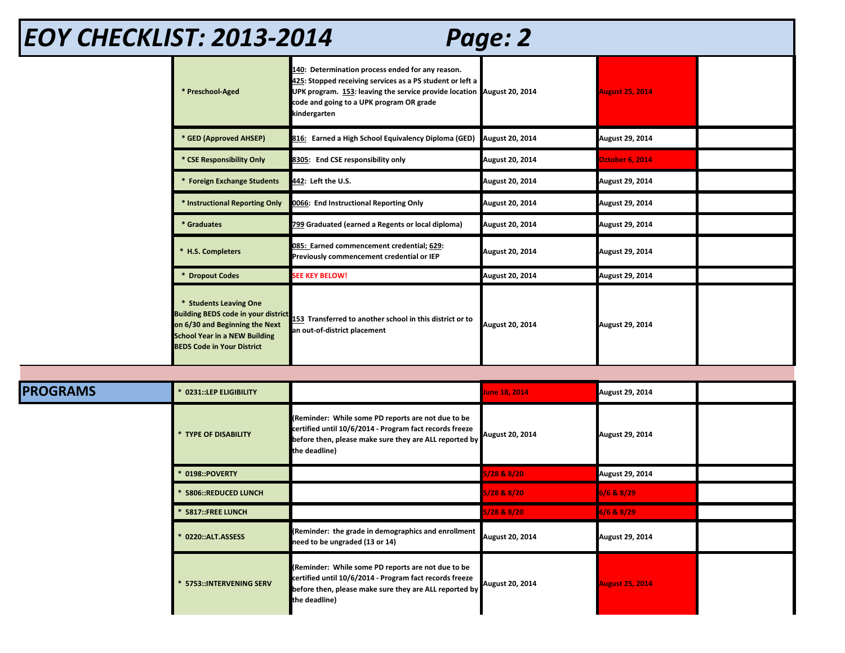| EOY CHECKLIST: 2013-2014<br>Page: 2 |                                                                                                                                                                                     |                                                                                                                                                                                                                                                     |                        |                        |  |  |
|-------------------------------------|-------------------------------------------------------------------------------------------------------------------------------------------------------------------------------------|-----------------------------------------------------------------------------------------------------------------------------------------------------------------------------------------------------------------------------------------------------|------------------------|------------------------|--|--|
|                                     | * Preschool-Aged                                                                                                                                                                    | 140: Determination process ended for any reason.<br>425: Stopped receiving services as a PS student or left a<br>UPK program. 153: leaving the service provide location August 20, 2014<br>code and going to a UPK program OR grade<br>kindergarten |                        | <b>August 25, 2014</b> |  |  |
|                                     | * GED (Approved AHSEP)                                                                                                                                                              | 816: Earned a High School Equivalency Diploma (GED)                                                                                                                                                                                                 | August 20, 2014        | August 29, 2014        |  |  |
|                                     | * CSE Responsibility Only                                                                                                                                                           | 8305: End CSE responsibility only                                                                                                                                                                                                                   | August 20, 2014        | <b>October 6, 2014</b> |  |  |
|                                     | * Foreign Exchange Students                                                                                                                                                         | 442: Left the U.S.                                                                                                                                                                                                                                  | August 20, 2014        | August 29, 2014        |  |  |
|                                     | * Instructional Reporting Only                                                                                                                                                      | 0066: End Instructional Reporting Only                                                                                                                                                                                                              | August 20, 2014        | August 29, 2014        |  |  |
|                                     | * Graduates                                                                                                                                                                         | 799 Graduated (earned a Regents or local diploma)                                                                                                                                                                                                   | August 20, 2014        | August 29, 2014        |  |  |
|                                     | * H.S. Completers                                                                                                                                                                   | 085: Earned commencement credential; 629:<br>Previously commencement credential or IEP                                                                                                                                                              | <b>August 20, 2014</b> | <b>August 29, 2014</b> |  |  |
|                                     | * Dropout Codes                                                                                                                                                                     | <b>SEE KEY BELOW!</b>                                                                                                                                                                                                                               | <b>August 20, 2014</b> | August 29, 2014        |  |  |
|                                     | * Students Leaving One<br><b>Building BEDS code in your district</b><br>on 6/30 and Beginning the Next<br><b>School Year in a NEW Building</b><br><b>BEDS Code in Your District</b> | 153 Transferred to another school in this district or to<br>an out-of-district placement                                                                                                                                                            | August 20, 2014        | <b>August 29, 2014</b> |  |  |
|                                     |                                                                                                                                                                                     |                                                                                                                                                                                                                                                     |                        |                        |  |  |
| <b>PROGRAMS</b>                     | 0231::LEP ELIGIBILITY                                                                                                                                                               |                                                                                                                                                                                                                                                     | June 18, 2014          | August 29, 2014        |  |  |
|                                     | * TYPE OF DISABILITY                                                                                                                                                                | (Reminder: While some PD reports are not due to be<br>certified until 10/6/2014 - Program fact records freeze<br>before then, please make sure they are ALL reported by<br>the deadline)                                                            | August 20, 2014        | <b>August 29, 2014</b> |  |  |
|                                     | 0198::POVERTY                                                                                                                                                                       |                                                                                                                                                                                                                                                     | 6/28 & 8/20            | August 29, 2014        |  |  |
|                                     | 5806::REDUCED LUNCH                                                                                                                                                                 |                                                                                                                                                                                                                                                     | 5/28 & 8/20            | 6/6 & 8/29             |  |  |

 **\* 5817::FREE LUNCH 5/28 & 8/20 6/6 & 8/29**

**(Reminder: While some PD reports are not due to be certified until 10/6/2014 - Program fact records freeze before then, please make sure they are ALL reported by** 

**need to be ungraded (13 or 14) August 20, 2014 August 29, 2014**

**August 20, 2014 August 25, 2014**

 **\* 0220::ALT.ASSESS (Reminder: the grade in demographics and enrollment** 

**the deadline)**

 **\* 5753::INTERVENING SERV**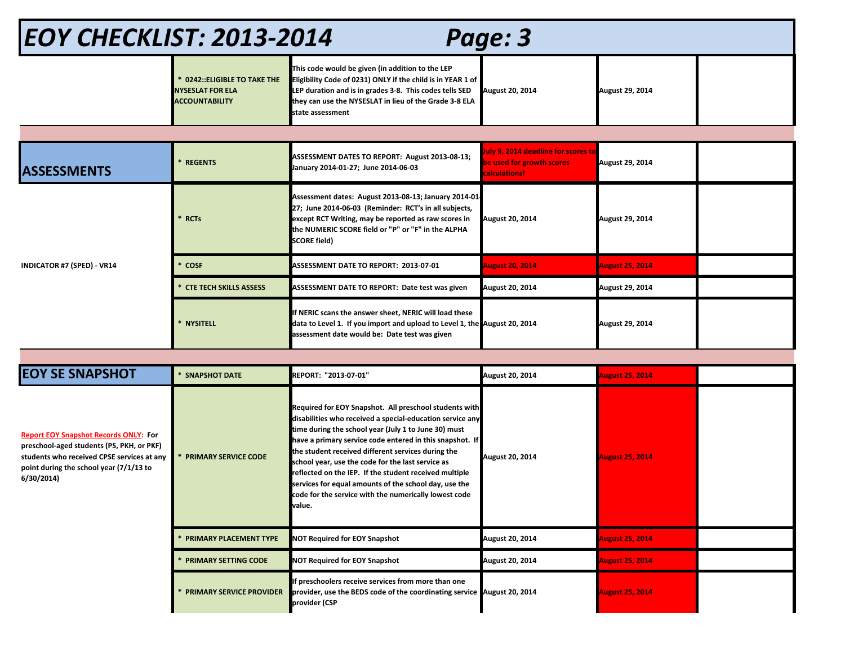| <b>EOY CHECKLIST: 2013-2014</b><br>Page: 3 |                                                                                 |                                                                                                                                                                                                                                                          |                                                                                          |                        |  |  |
|--------------------------------------------|---------------------------------------------------------------------------------|----------------------------------------------------------------------------------------------------------------------------------------------------------------------------------------------------------------------------------------------------------|------------------------------------------------------------------------------------------|------------------------|--|--|
|                                            | 0242:: ELIGIBLE TO TAKE THE<br><b>NYSESLAT FOR ELA</b><br><b>ACCOUNTABILITY</b> | This code would be given (in addition to the LEP<br>Eligibility Code of 0231) ONLY if the child is in YEAR 1 of<br>LEP duration and is in grades 3-8. This codes tells SED<br>they can use the NYSESLAT in lieu of the Grade 3-8 ELA<br>state assessment | <b>August 20, 2014</b>                                                                   | August 29, 2014        |  |  |
|                                            |                                                                                 |                                                                                                                                                                                                                                                          |                                                                                          |                        |  |  |
| <b>ASSESSMENTS</b>                         | <b>REGENTS</b>                                                                  | ASSESSMENT DATES TO REPORT: August 2013-08-13;<br>January 2014-01-27; June 2014-06-03                                                                                                                                                                    | July 9, 2014 deadline for scores to<br>be used for growth scores<br><b>calculations!</b> | August 29, 2014        |  |  |
|                                            | <b>RCTs</b>                                                                     | Assessment dates: August 2013-08-13; January 2014-01-<br>27; June 2014-06-03 (Reminder: RCT's in all subjects,<br>except RCT Writing, may be reported as raw scores in<br>the NUMERIC SCORE field or "P" or "F" in the ALPHA<br><b>SCORE field)</b>      | <b>August 20, 2014</b>                                                                   | August 29, 2014        |  |  |
| <b>INDICATOR #7 (SPED) - VR14</b>          | <b>COSF</b>                                                                     | <b>ASSESSMENT DATE TO REPORT: 2013-07-01</b>                                                                                                                                                                                                             | <b>August 20, 2014</b>                                                                   | <b>August 25, 2014</b> |  |  |
|                                            | <b>CTE TECH SKILLS ASSESS</b>                                                   | ASSESSMENT DATE TO REPORT: Date test was given                                                                                                                                                                                                           | <b>August 20, 2014</b>                                                                   | August 29, 2014        |  |  |
|                                            | * NYSITELL                                                                      | If NERIC scans the answer sheet, NERIC will load these<br>data to Level 1. If you import and upload to Level 1, the August 20, 2014<br>assessment date would be: Date test was given                                                                     |                                                                                          | August 29, 2014        |  |  |
|                                            |                                                                                 |                                                                                                                                                                                                                                                          |                                                                                          |                        |  |  |
| <b>EOY SE SNAPSHOT</b>                     | <b>SNAPSHOT DATE</b>                                                            | REPORT: "2013-07-01"                                                                                                                                                                                                                                     | August 20, 2014                                                                          | <b>August 25, 2014</b> |  |  |
|                                            |                                                                                 |                                                                                                                                                                                                                                                          |                                                                                          |                        |  |  |

| <b>Report EOY Snapshot Records ONLY: For</b><br>preschool-aged students (PS, PKH, or PKF)           |  |
|-----------------------------------------------------------------------------------------------------|--|
| students who received CPSE services at any<br>point during the school year (7/1/13 to<br>6/30/2014) |  |

| <b>PRIMARY SERVICE CODE</b>     | Required for EOY Snapshot. All preschool students with<br>disabilities who received a special-education service any<br>time during the school year (July 1 to June 30) must<br>have a primary service code entered in this snapshot. If<br>the student received different services during the<br>school year, use the code for the last service as<br>reflected on the IEP. If the student received multiple<br>services for equal amounts of the school day, use the<br>code for the service with the numerically lowest code<br>value. | <b>August 20, 2014</b> | <b>August 25, 2014</b> |  |
|---------------------------------|------------------------------------------------------------------------------------------------------------------------------------------------------------------------------------------------------------------------------------------------------------------------------------------------------------------------------------------------------------------------------------------------------------------------------------------------------------------------------------------------------------------------------------------|------------------------|------------------------|--|
| PRIMARY PLACEMENT TYPE          | <b>NOT Required for EOY Snapshot</b>                                                                                                                                                                                                                                                                                                                                                                                                                                                                                                     | <b>August 20, 2014</b> | <b>August 25, 2014</b> |  |
| <b>PRIMARY SETTING CODE</b>     | <b>NOT Required for EOY Snapshot</b>                                                                                                                                                                                                                                                                                                                                                                                                                                                                                                     | <b>August 20, 2014</b> | <b>August 25, 2014</b> |  |
| <b>PRIMARY SERVICE PROVIDER</b> | If preschoolers receive services from more than one<br>provider, use the BEDS code of the coordinating service August 20, 2014<br>provider (CSP                                                                                                                                                                                                                                                                                                                                                                                          |                        | <b>August 25, 2014</b> |  |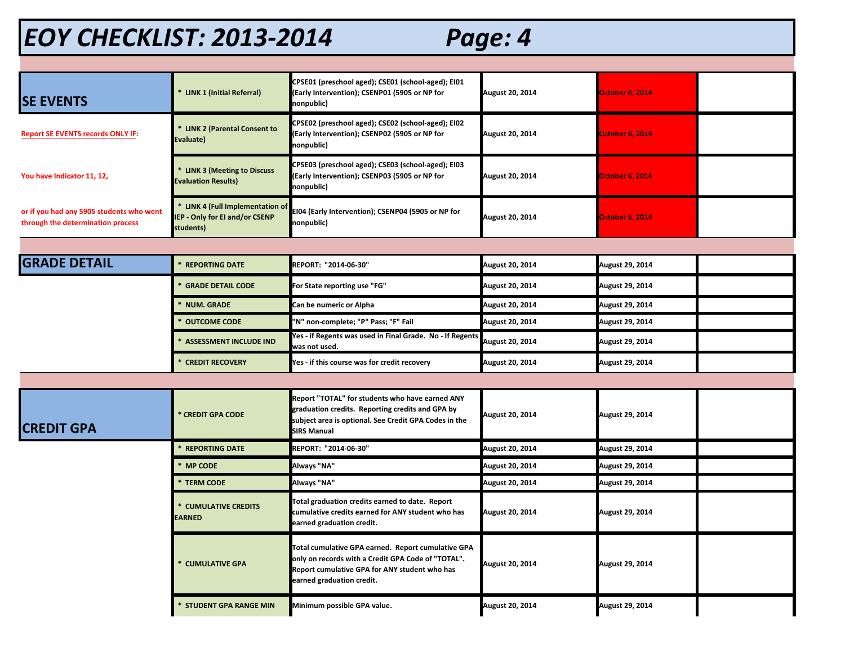## *EOY CHECKLIST: 2013-2014 Page: 4*

| <b>SE EVENTS</b>                                                              | * LINK 1 (Initial Referral)                                                    | CPSE01 (preschool aged); CSE01 (school-aged); EI01<br>(Early Intervention); CSENP01 (5905 or NP for<br>nonpublic)                                                                      | <b>August 20, 2014</b> | <b>October 6, 2014</b> |  |
|-------------------------------------------------------------------------------|--------------------------------------------------------------------------------|----------------------------------------------------------------------------------------------------------------------------------------------------------------------------------------|------------------------|------------------------|--|
| <b>Report SE EVENTS records ONLY IF:</b>                                      | * LINK 2 (Parental Consent to<br>Evaluate)                                     | CPSE02 (preschool aged); CSE02 (school-aged); EI02<br>Early Intervention); CSENP02 (5905 or NP for<br>nonpublic)                                                                       | <b>August 20, 2014</b> | <b>October 6, 2014</b> |  |
| You have Indicator 11, 12,                                                    | * LINK 3 (Meeting to Discuss<br>valuation Results)                             | CPSE03 (preschool aged); CSE03 (school-aged); EI03<br>Early Intervention); CSENP03 (5905 or NP for<br>nonpublic)                                                                       | <b>August 20, 2014</b> | <b>October 6, 2014</b> |  |
| or if you had any 5905 students who went<br>through the determination process | * LINK 4 (Full Implementation of<br>EP - Only for EI and/or CSENP<br>students) | EI04 (Early Intervention); CSENP04 (5905 or NP for<br>nonpublic)                                                                                                                       | <b>August 20, 2014</b> | <b>October 6, 2014</b> |  |
|                                                                               |                                                                                |                                                                                                                                                                                        |                        |                        |  |
| <b>GRADE DETAIL</b>                                                           | * REPORTING DATE                                                               | REPORT: "2014-06-30"                                                                                                                                                                   | August 20, 2014        | August 29, 2014        |  |
|                                                                               | <b>GRADE DETAIL CODE</b>                                                       | For State reporting use "FG"                                                                                                                                                           | <b>August 20, 2014</b> | August 29, 2014        |  |
|                                                                               | <b>NUM. GRADE</b>                                                              | Can be numeric or Alpha                                                                                                                                                                | <b>August 20, 2014</b> | August 29, 2014        |  |
|                                                                               | <b>OUTCOME CODE</b>                                                            | "N" non-complete; "P" Pass; "F" Fail                                                                                                                                                   | <b>August 20, 2014</b> | August 29, 2014        |  |
|                                                                               | <b>ASSESSMENT INCLUDE IND</b>                                                  | Yes - if Regents was used in Final Grade. No - If Regents<br>was not used.                                                                                                             | August 20, 2014        | August 29, 2014        |  |
|                                                                               | <b>CREDIT RECOVERY</b>                                                         | Yes - if this course was for credit recovery                                                                                                                                           | <b>August 20, 2014</b> | August 29, 2014        |  |
|                                                                               |                                                                                |                                                                                                                                                                                        |                        |                        |  |
| <b>CREDIT GPA</b>                                                             | * CREDIT GPA CODE                                                              | Report "TOTAL" for students who have earned ANY<br>graduation credits. Reporting credits and GPA by<br>subject area is optional. See Credit GPA Codes in the<br><b>SIRS Manual</b>     | <b>August 20, 2014</b> | August 29, 2014        |  |
|                                                                               | <b>REPORTING DATE</b>                                                          | REPORT: "2014-06-30"                                                                                                                                                                   | August 20, 2014        | August 29, 2014        |  |
|                                                                               | * MP CODE                                                                      | Always "NA"                                                                                                                                                                            | August 20, 2014        | August 29, 2014        |  |
|                                                                               | * TERM CODE                                                                    | Always "NA"                                                                                                                                                                            | <b>August 20, 2014</b> | August 29, 2014        |  |
|                                                                               | * CUMULATIVE CREDITS<br>EARNED                                                 | Total graduation credits earned to date. Report<br>cumulative credits earned for ANY student who has<br>earned graduation credit.                                                      | <b>August 20, 2014</b> | <b>August 29, 2014</b> |  |
|                                                                               | * CUMULATIVE GPA                                                               | Total cumulative GPA earned. Report cumulative GPA<br>only on records with a Credit GPA Code of "TOTAL".<br>Report cumulative GPA for ANY student who has<br>earned graduation credit. | <b>August 20, 2014</b> | August 29, 2014        |  |
|                                                                               | * STUDENT GPA RANGE MIN                                                        | Minimum possible GPA value.                                                                                                                                                            | August 20, 2014        | August 29, 2014        |  |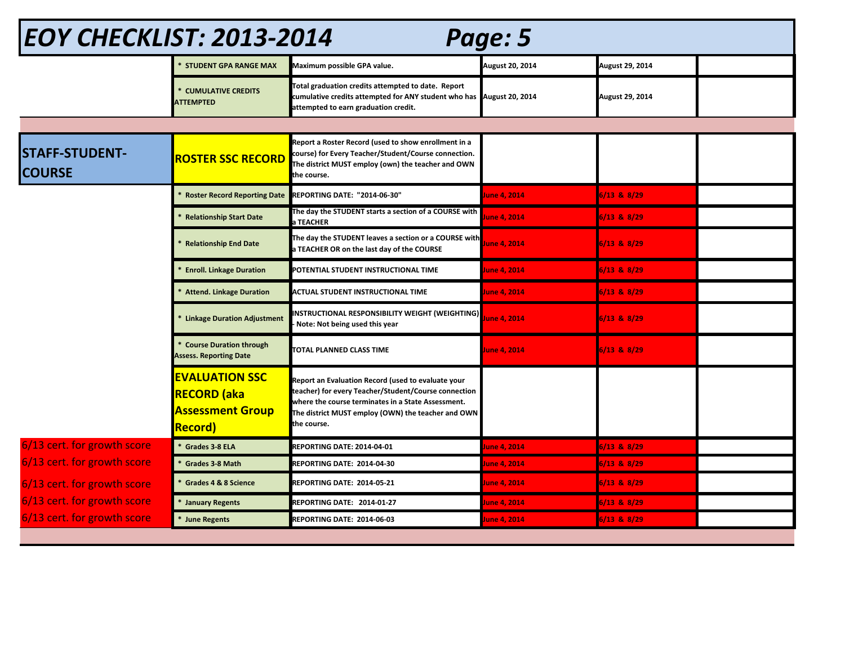| <b>EOY CHECKLIST: 2013-2014</b><br>Page: 5 |                                                                                           |                                                                                                                                                                                                                                       |                 |                 |  |  |
|--------------------------------------------|-------------------------------------------------------------------------------------------|---------------------------------------------------------------------------------------------------------------------------------------------------------------------------------------------------------------------------------------|-----------------|-----------------|--|--|
|                                            | * STUDENT GPA RANGE MAX                                                                   | Maximum possible GPA value.                                                                                                                                                                                                           | August 20, 2014 | August 29, 2014 |  |  |
|                                            | * CUMULATIVE CREDITS<br><b>ATTEMPTED</b>                                                  | Total graduation credits attempted to date. Report<br>cumulative credits attempted for ANY student who has August 20, 2014<br>attempted to earn graduation credit.                                                                    |                 | August 29, 2014 |  |  |
|                                            |                                                                                           |                                                                                                                                                                                                                                       |                 |                 |  |  |
| <b>STAFF-STUDENT-</b><br><b>COURSE</b>     | <b>ROSTER SSC RECORD</b>                                                                  | Report a Roster Record (used to show enrollment in a<br>course) for Every Teacher/Student/Course connection.<br>The district MUST employ (own) the teacher and OWN<br>the course.                                                     |                 |                 |  |  |
|                                            | <b>Roster Record Reporting Date</b>                                                       | <b>REPORTING DATE: "2014-06-30"</b>                                                                                                                                                                                                   | June 4, 2014    | $6/13$ & $8/29$ |  |  |
|                                            | <b>Relationship Start Date</b>                                                            | The day the STUDENT starts a section of a COURSE with<br><b>TEACHER</b>                                                                                                                                                               | une 4, 2014     | $6/13$ & $8/29$ |  |  |
|                                            | <b>Relationship End Date</b>                                                              | The day the STUDENT leaves a section or a COURSE with<br>TEACHER OR on the last day of the COURSE                                                                                                                                     | une 4, 2014     | 6/13 & 8/29     |  |  |
|                                            | <b>Enroll. Linkage Duration</b>                                                           | POTENTIAL STUDENT INSTRUCTIONAL TIME                                                                                                                                                                                                  | une 4, 2014     | $6/13$ & $8/29$ |  |  |
|                                            | <b>Attend. Linkage Duration</b>                                                           | <b>ACTUAL STUDENT INSTRUCTIONAL TIME</b>                                                                                                                                                                                              | June 4, 2014    | $6/13$ & $8/29$ |  |  |
|                                            | <b>Linkage Duration Adjustment</b>                                                        | NSTRUCTIONAL RESPONSIBILITY WEIGHT (WEIGHTING)<br>Note: Not being used this year                                                                                                                                                      | une 4, 2014     | $6/13$ & $8/29$ |  |  |
|                                            | * Course Duration through<br><b>Assess. Reporting Date</b>                                | <b>TOTAL PLANNED CLASS TIME</b>                                                                                                                                                                                                       | lune 4, 2014    | $6/13$ & $8/29$ |  |  |
|                                            | <b>EVALUATION SSC</b><br><b>RECORD (aka</b><br><b>Assessment Group</b><br><b>Record</b> ) | Report an Evaluation Record (used to evaluate your<br>teacher) for every Teacher/Student/Course connection<br>where the course terminates in a State Assessment.<br>The district MUST employ (OWN) the teacher and OWN<br>the course. |                 |                 |  |  |
| 6/13 cert. for growth score                | * Grades 3-8 ELA                                                                          | <b>REPORTING DATE: 2014-04-01</b>                                                                                                                                                                                                     | une 4, 2014     | 6/13 & 8/29     |  |  |
| 6/13 cert. for growth score                | * Grades 3-8 Math                                                                         | <b>REPORTING DATE: 2014-04-30</b>                                                                                                                                                                                                     | une 4, 2014     | 6/13 & 8/29     |  |  |
| 6/13 cert. for growth score                | * Grades 4 & 8 Science                                                                    | <b>REPORTING DATE: 2014-05-21</b>                                                                                                                                                                                                     | lune 4, 2014    | $6/13$ & $8/29$ |  |  |
| 6/13 cert. for growth score                | * January Regents                                                                         | REPORTING DATE: 2014-01-27                                                                                                                                                                                                            | une 4, 2014     | 6/13 & 8/29     |  |  |
| 6/13 cert. for growth score                | * June Regents                                                                            | <b>REPORTING DATE: 2014-06-03</b>                                                                                                                                                                                                     | une 4, 2014     | $6/13$ & $8/29$ |  |  |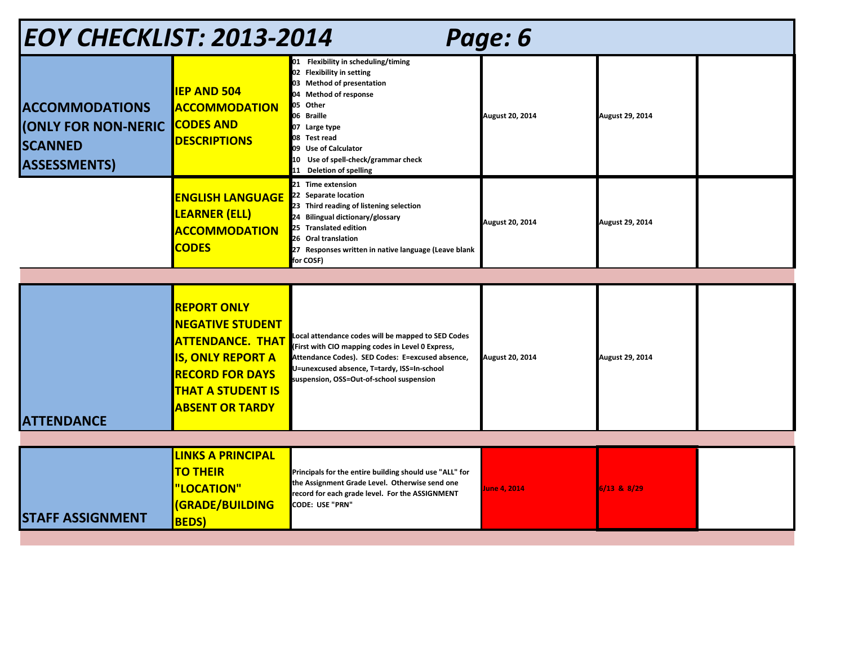| EOY CHECKLIST: 2013-2014<br>Page: 6                                                          |                                                                                                                                                                                      |                                                                                                                                                                                                                                                                             |                        |                 |  |  |
|----------------------------------------------------------------------------------------------|--------------------------------------------------------------------------------------------------------------------------------------------------------------------------------------|-----------------------------------------------------------------------------------------------------------------------------------------------------------------------------------------------------------------------------------------------------------------------------|------------------------|-----------------|--|--|
| <b>ACCOMMODATIONS</b><br><b>(ONLY FOR NON-NERIC</b><br><b>SCANNED</b><br><b>ASSESSMENTS)</b> | <b>IEP AND 504</b><br><b>ACCOMMODATION</b><br><b>CODES AND</b><br><b>DESCRIPTIONS</b>                                                                                                | 01 Flexibility in scheduling/timing<br>02 Flexibility in setting<br>03 Method of presentation<br>04 Method of response<br>05 Other<br>06 Braille<br>07 Large type<br>08 Test read<br>09 Use of Calculator<br>10 Use of spell-check/grammar check<br>11 Deletion of spelling | <b>August 20, 2014</b> | August 29, 2014 |  |  |
|                                                                                              | <b>ENGLISH LANGUAGE</b><br><b>LEARNER (ELL)</b><br><b>ACCOMMODATION</b><br><b>CODES</b>                                                                                              | 21 Time extension<br>22 Separate location<br>23 Third reading of listening selection<br>24 Bilingual dictionary/glossary<br>25 Translated edition<br>26 Oral translation<br>27 Responses written in native language (Leave blank<br>for COSF)                               | <b>August 20, 2014</b> | August 29, 2014 |  |  |
|                                                                                              |                                                                                                                                                                                      |                                                                                                                                                                                                                                                                             |                        |                 |  |  |
| <b>ATTENDANCE</b>                                                                            | <b>REPORT ONLY</b><br><b>NEGATIVE STUDENT</b><br><b>ATTENDANCE. THAT</b><br><b>IS, ONLY REPORT A</b><br><b>RECORD FOR DAYS</b><br><b>THAT A STUDENT IS</b><br><b>ABSENT OR TARDY</b> | Local attendance codes will be mapped to SED Codes<br>(First with CIO mapping codes in Level 0 Express,<br>Attendance Codes). SED Codes: E=excused absence,<br>U=unexcused absence, T=tardy, ISS=In-school<br>suspension, OSS=Out-of-school suspension                      | <b>August 20, 2014</b> | August 29, 2014 |  |  |
|                                                                                              |                                                                                                                                                                                      |                                                                                                                                                                                                                                                                             |                        |                 |  |  |
| <b>STAFF ASSIGNMENT</b>                                                                      | <b>LINKS A PRINCIPAL</b><br><b>TO THEIR</b><br>"LOCATION"<br><b>(GRADE/BUILDING</b><br><b>BEDS</b> )                                                                                 | Principals for the entire building should use "ALL" for<br>the Assignment Grade Level. Otherwise send one<br>record for each grade level. For the ASSIGNMENT<br>CODE: USE "PRN"                                                                                             | June 4, 2014           | 6/13 & 8/29     |  |  |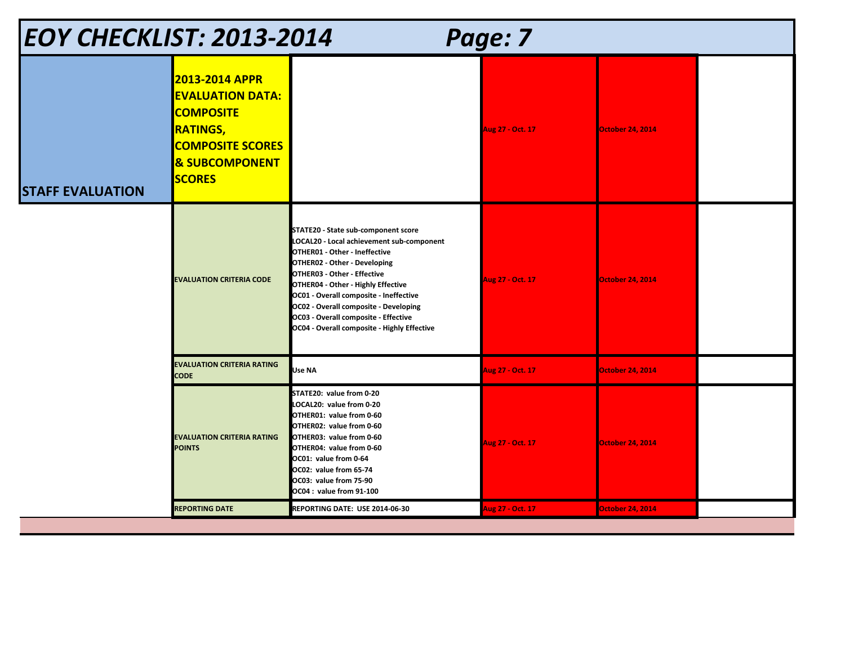| <b>EOY CHECKLIST: 2013-2014</b><br>Page: 7 |                                                                                                                                                                  |                                                                                                                                                                                                                                                                                                                                                                                                  |                  |                         |  |  |
|--------------------------------------------|------------------------------------------------------------------------------------------------------------------------------------------------------------------|--------------------------------------------------------------------------------------------------------------------------------------------------------------------------------------------------------------------------------------------------------------------------------------------------------------------------------------------------------------------------------------------------|------------------|-------------------------|--|--|
| <b>STAFF EVALUATION</b>                    | <b>2013-2014 APPR</b><br><b>EVALUATION DATA:</b><br><b>COMPOSITE</b><br><b>RATINGS,</b><br><b>COMPOSITE SCORES</b><br><b>&amp; SUBCOMPONENT</b><br><b>SCORES</b> |                                                                                                                                                                                                                                                                                                                                                                                                  | Aug 27 - Oct. 17 | <b>October 24, 2014</b> |  |  |
|                                            | <b>EVALUATION CRITERIA CODE</b>                                                                                                                                  | STATE20 - State sub-component score<br>LOCAL20 - Local achievement sub-component<br>OTHER01 - Other - Ineffective<br>OTHER02 - Other - Developing<br>OTHER03 - Other - Effective<br>OTHER04 - Other - Highly Effective<br>OC01 - Overall composite - Ineffective<br>OC02 - Overall composite - Developing<br>OC03 - Overall composite - Effective<br>OC04 - Overall composite - Highly Effective | Aug 27 - Oct. 17 | <b>October 24, 2014</b> |  |  |
|                                            | <b>EVALUATION CRITERIA RATING</b><br><b>CODE</b>                                                                                                                 | Use NA                                                                                                                                                                                                                                                                                                                                                                                           | Aug 27 - Oct. 17 | <b>October 24, 2014</b> |  |  |
|                                            | <b>EVALUATION CRITERIA RATING</b><br><b>POINTS</b>                                                                                                               | STATE20: value from 0-20<br>LOCAL20: value from 0-20<br>OTHER01: value from 0-60<br>OTHER02: value from 0-60<br>OTHER03: value from 0-60<br>OTHER04: value from 0-60<br>OC01: value from 0-64<br>OC02: value from 65-74<br>OC03: value from 75-90<br>OC04: value from 91-100                                                                                                                     | Aug 27 - Oct. 17 | <b>October 24, 2014</b> |  |  |
|                                            | <b>REPORTING DATE</b>                                                                                                                                            | REPORTING DATE: USE 2014-06-30                                                                                                                                                                                                                                                                                                                                                                   | Aug 27 - Oct. 17 | <b>October 24, 2014</b> |  |  |